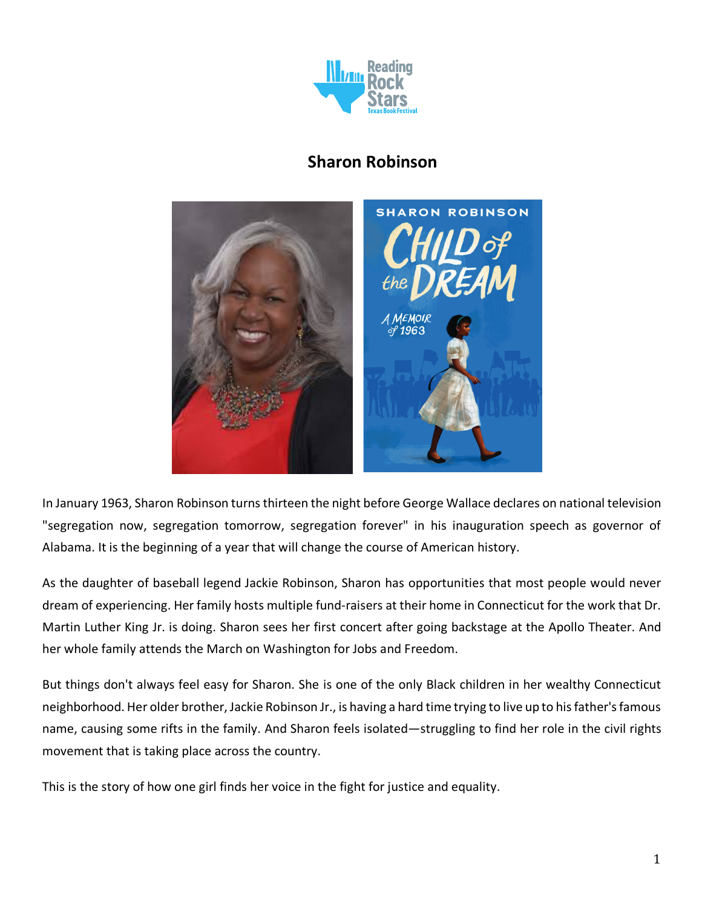

# **Sharon Robinson**



In January 1963, Sharon Robinson turns thirteen the night before George Wallace declares on national television "segregation now, segregation tomorrow, segregation forever" in his inauguration speech as governor of Alabama. It is the beginning of a year that will change the course of American history.

As the daughter of baseball legend Jackie Robinson, Sharon has opportunities that most people would never dream of experiencing. Her family hosts multiple fund-raisers at their home in Connecticut for the work that Dr. Martin Luther King Jr. is doing. Sharon sees her first concert after going backstage at the Apollo Theater. And her whole family attends the March on Washington for Jobs and Freedom.

But things don't always feel easy for Sharon. She is one of the only Black children in her wealthy Connecticut neighborhood. Her older brother, Jackie Robinson Jr., is having a hard time trying to live up to his father's famous name, causing some rifts in the family. And Sharon feels isolated—struggling to find her role in the civil rights movement that is taking place across the country.

This is the story of how one girl finds her voice in the fight for justice and equality.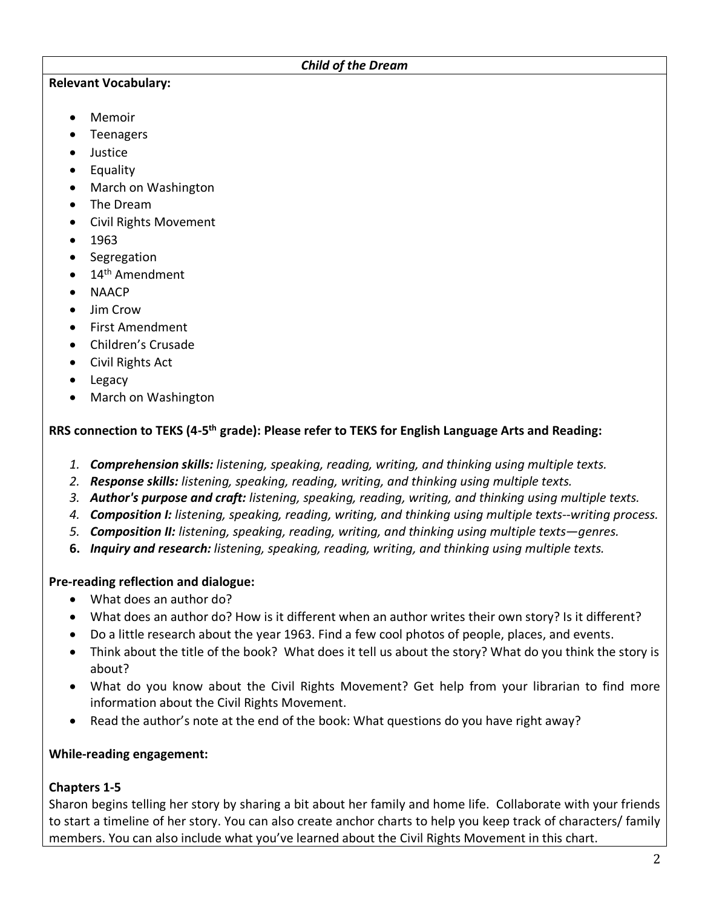#### *Child of the Dream*

#### **Relevant Vocabulary:**

- Memoir
- Teenagers
- Justice
- Equality
- March on Washington
- The Dream
- Civil Rights Movement
- 1963
- Segregation
- $\bullet$  14<sup>th</sup> Amendment
- NAACP
- Jim Crow
- First Amendment
- Children's Crusade
- Civil Rights Act
- Legacy
- March on Washington

### **RRS connection to TEKS (4-5th grade): Please refer to TEKS for English Language Arts and Reading:**

- *1. Comprehension skills: listening, speaking, reading, writing, and thinking using multiple texts.*
- *2. Response skills: listening, speaking, reading, writing, and thinking using multiple texts.*
- *3. Author's purpose and craft: listening, speaking, reading, writing, and thinking using multiple texts.*
- *4. Composition I: listening, speaking, reading, writing, and thinking using multiple texts--writing process.*
- *5. Composition II: listening, speaking, reading, writing, and thinking using multiple texts—genres.*
- **6.** *Inquiry and research: listening, speaking, reading, writing, and thinking using multiple texts.*

# **Pre-reading reflection and dialogue:**

- What does an author do?
- What does an author do? How is it different when an author writes their own story? Is it different?
- Do a little research about the year 1963. Find a few cool photos of people, places, and events.
- Think about the title of the book? What does it tell us about the story? What do you think the story is about?
- What do you know about the Civil Rights Movement? Get help from your librarian to find more information about the Civil Rights Movement.
- Read the author's note at the end of the book: What questions do you have right away?

# **While-reading engagement:**

# **Chapters 1-5**

Sharon begins telling her story by sharing a bit about her family and home life. Collaborate with your friends to start a timeline of her story. You can also create anchor charts to help you keep track of characters/ family members. You can also include what you've learned about the Civil Rights Movement in this chart.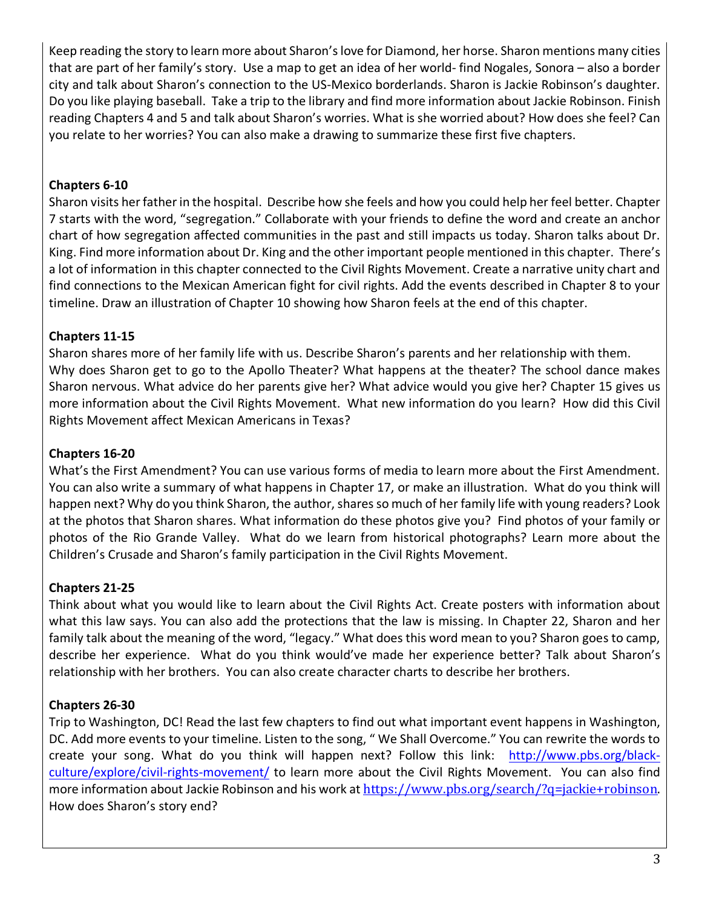Keep reading the story to learn more about Sharon's love for Diamond, her horse. Sharon mentions many cities that are part of her family's story. Use a map to get an idea of her world- find Nogales, Sonora – also a border city and talk about Sharon's connection to the US-Mexico borderlands. Sharon is Jackie Robinson's daughter. Do you like playing baseball. Take a trip to the library and find more information about Jackie Robinson. Finish reading Chapters 4 and 5 and talk about Sharon's worries. What is she worried about? How does she feel? Can you relate to her worries? You can also make a drawing to summarize these first five chapters.

### **Chapters 6-10**

Sharon visits her father in the hospital. Describe how she feels and how you could help her feel better. Chapter 7 starts with the word, "segregation." Collaborate with your friends to define the word and create an anchor chart of how segregation affected communities in the past and still impacts us today. Sharon talks about Dr. King. Find more information about Dr. King and the other important people mentioned in this chapter. There's a lot of information in this chapter connected to the Civil Rights Movement. Create a narrative unity chart and find connections to the Mexican American fight for civil rights. Add the events described in Chapter 8 to your timeline. Draw an illustration of Chapter 10 showing how Sharon feels at the end of this chapter.

# **Chapters 11-15**

Sharon shares more of her family life with us. Describe Sharon's parents and her relationship with them. Why does Sharon get to go to the Apollo Theater? What happens at the theater? The school dance makes Sharon nervous. What advice do her parents give her? What advice would you give her? Chapter 15 gives us more information about the Civil Rights Movement. What new information do you learn? How did this Civil Rights Movement affect Mexican Americans in Texas?

## **Chapters 16-20**

What's the First Amendment? You can use various forms of media to learn more about the First Amendment. You can also write a summary of what happens in Chapter 17, or make an illustration. What do you think will happen next? Why do you think Sharon, the author, shares so much of her family life with young readers? Look at the photos that Sharon shares. What information do these photos give you? Find photos of your family or photos of the Rio Grande Valley. What do we learn from historical photographs? Learn more about the Children's Crusade and Sharon's family participation in the Civil Rights Movement.

## **Chapters 21-25**

Think about what you would like to learn about the Civil Rights Act. Create posters with information about what this law says. You can also add the protections that the law is missing. In Chapter 22, Sharon and her family talk about the meaning of the word, "legacy." What does this word mean to you? Sharon goes to camp, describe her experience. What do you think would've made her experience better? Talk about Sharon's relationship with her brothers. You can also create character charts to describe her brothers.

## **Chapters 26-30**

Trip to Washington, DC! Read the last few chapters to find out what important event happens in Washington, DC. Add more events to your timeline. Listen to the song, " We Shall Overcome." You can rewrite the words to create your song. What do you think will happen next? Follow this link: http://www.pbs.org/blackculture/explore/civil-rights-movement/ to learn more about the Civil Rights Movement. You can also find more information about Jackie Robinson and his work at https://www.pbs.org/search/?q=jackie+robinson. How does Sharon's story end?